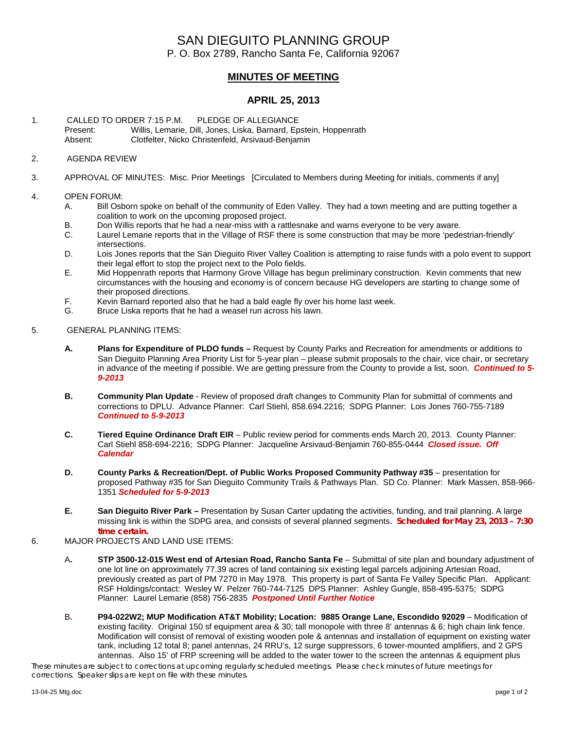# SAN DIEGUITO PLANNING GROUP P. O. Box 2789, Rancho Santa Fe, California 92067

## **MINUTES OF MEETING**

## **APRIL 25, 2013**

1. CALLED TO ORDER 7:15 P.M. PLEDGE OF ALLEGIANCE Present: Willis, Lemarie, Dill, Jones, Liska, Barnard, Epstein, Hoppenrath<br>Absent: Clotfelter Nicko Christenfeld Arsivaud-Benjamin Clotfelter, Nicko Christenfeld, Arsivaud-Benjamin

#### 2. AGENDA REVIEW

3. APPROVAL OF MINUTES: Misc. Prior Meetings [Circulated to Members during Meeting for initials, comments if any]

#### 4. OPEN FORUM:

- A. Bill Osborn spoke on behalf of the community of Eden Valley. They had a town meeting and are putting together a coalition to work on the upcoming proposed project.
- B. Don Willis reports that he had a near-miss with a rattlesnake and warns everyone to be very aware.<br>C. Laurel Lemarie reports that in the Village of RSF there is some construction that may be more 'pede
- Laurel Lemarie reports that in the Village of RSF there is some construction that may be more 'pedestrian-friendly' intersections.
- D. Lois Jones reports that the San Dieguito River Valley Coalition is attempting to raise funds with a polo event to support their legal effort to stop the project next to the Polo fields.
- E. Mid Hoppenrath reports that Harmony Grove Village has begun preliminary construction. Kevin comments that new circumstances with the housing and economy is of concern because HG developers are starting to change some of their proposed directions.
- F. Kevin Barnard reported also that he had a bald eagle fly over his home last week.
- G. Bruce Liska reports that he had a weasel run across his lawn.

### 5. GENERAL PLANNING ITEMS:

- **A. Plans for Expenditure of PLDO funds –** Request by County Parks and Recreation for amendments or additions to San Dieguito Planning Area Priority List for 5-year plan – please submit proposals to the chair, vice chair, or secretary in advance of the meeting if possible. We are getting pressure from the County to provide a list, soon. *Continued to 5- 9-2013*
- **B. Community Plan Update** Review of proposed draft changes to Community Plan for submittal of comments and corrections to DPLU. Advance Planner: Carl Stiehl, 858.694.2216; SDPG Planner: Lois Jones 760-755-7189 *Continued to 5-9-2013*
- **C. Tiered Equine Ordinance Draft EIR**  Public review period for comments ends March 20, 2013. County Planner: Carl Stiehl 858-694-2216; SDPG Planner: Jacqueline Arsivaud-Benjamin 760-855-0444 *Closed issue. Off Calendar*
- **D. County Parks & Recreation/Dept. of Public Works Proposed Community Pathway #35** presentation for proposed Pathway #35 for San Dieguito Community Trails & Pathways Plan. SD Co. Planner: Mark Massen, 858-966- 1351 *Scheduled for 5-9-2013*
- **E. San Dieguito River Park –** Presentation by Susan Carter updating the activities, funding, and trail planning. A large missing link is within the SDPG area, and consists of several planned segments. *Scheduled for May 23, 2013 – 7:30 time certain.*
- 6. MAJOR PROJECTS AND LAND USE ITEMS:
	- A**. STP 3500-12-015 West end of Artesian Road, Rancho Santa Fe** Submittal of site plan and boundary adjustment of one lot line on approximately 77.39 acres of land containing six existing legal parcels adjoining Artesian Road, previously created as part of PM 7270 in May 1978. This property is part of Santa Fe Valley Specific Plan.Applicant: RSF Holdings/contact: Wesley W. Pelzer 760-744-7125 DPS Planner: Ashley Gungle, 858-495-5375; SDPG Planner: Laurel Lemarie (858) 756-2835 *Postponed Until Further Notice*
	- B**. P94-022W2; MUP Modification AT&T Mobility; Location: 9885 Orange Lane, Escondido 92029** Modification of existing facility. Original 150 sf equipment area & 30; tall monopole with three 8' antennas & 6; high chain link fence. Modification will consist of removal of existing wooden pole & antennas and installation of equipment on existing water tank, including 12 total 8; panel antennas, 24 RRU's, 12 surge suppressors, 6 tower-mounted amplifiers, and 2 GPS antennas. Also 15' of FRP screening will be added to the water tower to the screen the antennas & equipment plus

*These minutes are subject to corrections at upcoming regularly scheduled meetings. Please check minutes of future meetings for corrections. Speaker slips are kept on file with these minutes.*